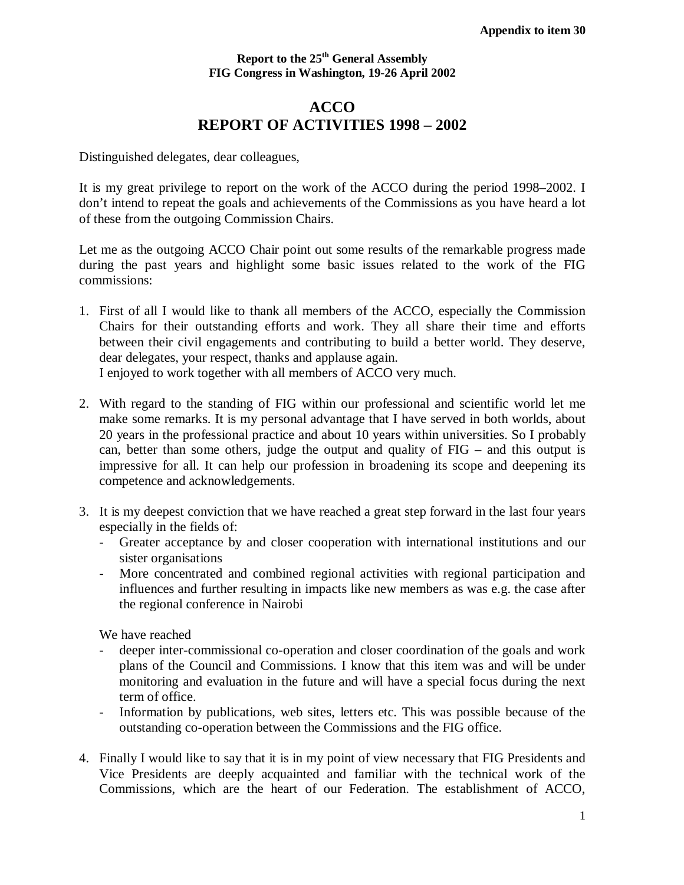## **Report to the 25th General Assembly FIG Congress in Washington, 19-26 April 2002**

## **ACCO REPORT OF ACTIVITIES 1998 – 2002**

Distinguished delegates, dear colleagues,

It is my great privilege to report on the work of the ACCO during the period 1998–2002. I don't intend to repeat the goals and achievements of the Commissions as you have heard a lot of these from the outgoing Commission Chairs.

Let me as the outgoing ACCO Chair point out some results of the remarkable progress made during the past years and highlight some basic issues related to the work of the FIG commissions:

- 1. First of all I would like to thank all members of the ACCO, especially the Commission Chairs for their outstanding efforts and work. They all share their time and efforts between their civil engagements and contributing to build a better world. They deserve, dear delegates, your respect, thanks and applause again. I enjoyed to work together with all members of ACCO very much.
- 2. With regard to the standing of FIG within our professional and scientific world let me make some remarks. It is my personal advantage that I have served in both worlds, about 20 years in the professional practice and about 10 years within universities. So I probably can, better than some others, judge the output and quality of FIG – and this output is impressive for all. It can help our profession in broadening its scope and deepening its competence and acknowledgements.
- 3. It is my deepest conviction that we have reached a great step forward in the last four years especially in the fields of:
	- Greater acceptance by and closer cooperation with international institutions and our sister organisations
	- More concentrated and combined regional activities with regional participation and influences and further resulting in impacts like new members as was e.g. the case after the regional conference in Nairobi

We have reached

- deeper inter-commissional co-operation and closer coordination of the goals and work plans of the Council and Commissions. I know that this item was and will be under monitoring and evaluation in the future and will have a special focus during the next term of office.
- Information by publications, web sites, letters etc. This was possible because of the outstanding co-operation between the Commissions and the FIG office.
- 4. Finally I would like to say that it is in my point of view necessary that FIG Presidents and Vice Presidents are deeply acquainted and familiar with the technical work of the Commissions, which are the heart of our Federation. The establishment of ACCO,